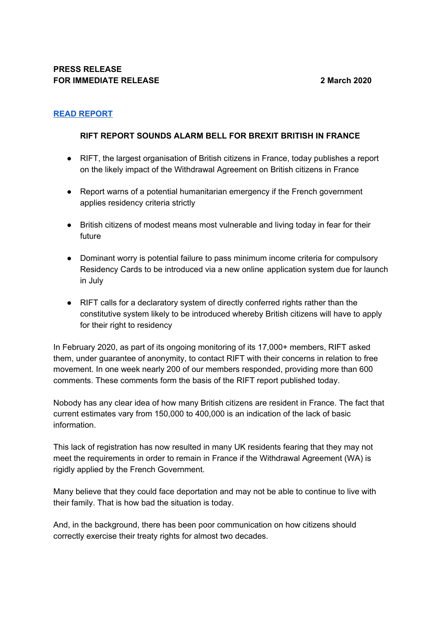# **READ [REPORT](https://www.remaininfrance.fr/rift-sounds-the-alarm-bell?fbclid=IwAR0NIP-Uuy3bLBCFzMT35bmkVzR2UesrZmb30M7pNqMgWG7cOSap7Xc1Sms)**

## **RIFT REPORT SOUNDS ALARM BELL FOR BREXIT BRITISH IN FRANCE**

- RIFT, the largest organisation of British citizens in France, today publishes a report on the likely impact of the Withdrawal Agreement on British citizens in France
- Report warns of a potential humanitarian emergency if the French government applies residency criteria strictly
- British citizens of modest means most vulnerable and living today in fear for their future
- Dominant worry is potential failure to pass minimum income criteria for compulsory Residency Cards to be introduced via a new online application system due for launch in July
- RIFT calls for a declaratory system of directly conferred rights rather than the constitutive system likely to be introduced whereby British citizens will have to apply for their right to residency

In February 2020, as part of its ongoing monitoring of its 17,000+ members, RIFT asked them, under guarantee of anonymity, to contact RIFT with their concerns in relation to free movement. In one week nearly 200 of our members responded, providing more than 600 comments. These comments form the basis of the RIFT report published today.

Nobody has any clear idea of how many British citizens are resident in France. The fact that current estimates vary from 150,000 to 400,000 is an indication of the lack of basic information.

This lack of registration has now resulted in many UK residents fearing that they may not meet the requirements in order to remain in France if the Withdrawal Agreement (WA) is rigidly applied by the French Government.

Many believe that they could face deportation and may not be able to continue to live with their family. That is how bad the situation is today.

And, in the background, there has been poor communication on how citizens should correctly exercise their treaty rights for almost two decades.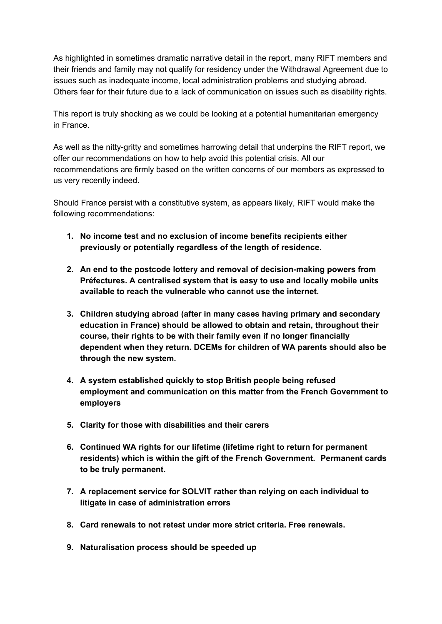As highlighted in sometimes dramatic narrative detail in the report, many RIFT members and their friends and family may not qualify for residency under the Withdrawal Agreement due to issues such as inadequate income, local administration problems and studying abroad. Others fear for their future due to a lack of communication on issues such as disability rights.

This report is truly shocking as we could be looking at a potential humanitarian emergency in France.

As well as the nitty-gritty and sometimes harrowing detail that underpins the RIFT report, we offer our recommendations on how to help avoid this potential crisis. All our recommendations are firmly based on the written concerns of our members as expressed to us very recently indeed.

Should France persist with a constitutive system, as appears likely, RIFT would make the following recommendations:

- **1. No income test and no exclusion of income benefits recipients either previously or potentially regardless of the length of residence.**
- **2. An end to the postcode lottery and removal of decision-making powers from Préfectures. A centralised system that is easy to use and locally mobile units available to reach the vulnerable who cannot use the internet.**
- **3. Children studying abroad (after in many cases having primary and secondary education in France) should be allowed to obtain and retain, throughout their course, their rights to be with their family even if no longer financially dependent when they return. DCEMs for children of WA parents should also be through the new system.**
- **4. A system established quickly to stop British people being refused employment and communication on this matter from the French Government to employers**
- **5. Clarity for those with disabilities and their carers**
- **6. Continued WA rights for our lifetime (lifetime right to return for permanent residents) which is within the gift of the French Government. Permanent cards to be truly permanent.**
- **7. A replacement service for SOLVIT rather than relying on each individual to litigate in case of administration errors**
- **8. Card renewals to not retest under more strict criteria. Free renewals.**
- **9. Naturalisation process should be speeded up**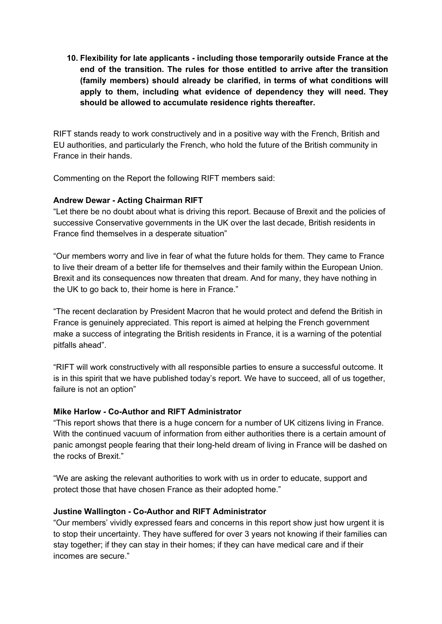**10. Flexibility for late applicants - including those temporarily outside France at the end of the transition. The rules for those entitled to arrive after the transition (family members) should already be clarified, in terms of what conditions will apply to them, including what evidence of dependency they will need. They should be allowed to accumulate residence rights thereafter.**

RIFT stands ready to work constructively and in a positive way with the French, British and EU authorities, and particularly the French, who hold the future of the British community in France in their hands.

Commenting on the Report the following RIFT members said:

## **Andrew Dewar - Acting Chairman RIFT**

"Let there be no doubt about what is driving this report. Because of Brexit and the policies of successive Conservative governments in the UK over the last decade, British residents in France find themselves in a desperate situation"

"Our members worry and live in fear of what the future holds for them. They came to France to live their dream of a better life for themselves and their family within the European Union. Brexit and its consequences now threaten that dream. And for many, they have nothing in the UK to go back to, their home is here in France."

"The recent declaration by President Macron that he would protect and defend the British in France is genuinely appreciated. This report is aimed at helping the French government make a success of integrating the British residents in France, it is a warning of the potential pitfalls ahead".

"RIFT will work constructively with all responsible parties to ensure a successful outcome. It is in this spirit that we have published today's report. We have to succeed, all of us together, failure is not an option"

#### **Mike Harlow - Co-Author and RIFT Administrator**

"This report shows that there is a huge concern for a number of UK citizens living in France. With the continued vacuum of information from either authorities there is a certain amount of panic amongst people fearing that their long-held dream of living in France will be dashed on the rocks of Brexit."

"We are asking the relevant authorities to work with us in order to educate, support and protect those that have chosen France as their adopted home."

#### **Justine Wallington - Co-Author and RIFT Administrator**

"Our members' vividly expressed fears and concerns in this report show just how urgent it is to stop their uncertainty. They have suffered for over 3 years not knowing if their families can stay together; if they can stay in their homes; if they can have medical care and if their incomes are secure."